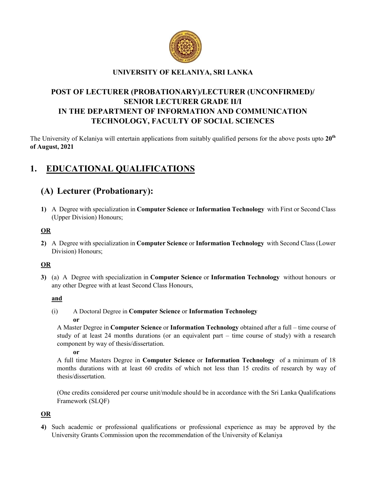

## UNIVERSITY OF KELANIYA, SRI LANKA

# POST OF LECTURER (PROBATIONARY)/LECTURER (UNCONFIRMED)/ SENIOR LECTURER GRADE II/I IN THE DEPARTMENT OF INFORMATION AND COMMUNICATION TECHNOLOGY, FACULTY OF SOCIAL SCIENCES

The University of Kelaniya will entertain applications from suitably qualified persons for the above posts upto 20<sup>th</sup> of August, 2021

# 1. EDUCATIONAL QUALIFICATIONS

# (A) Lecturer (Probationary):

1) A Degree with specialization in Computer Science or Information Technology with First or Second Class (Upper Division) Honours;

## OR

2) A Degree with specialization in Computer Science or Information Technology with Second Class (Lower Division) Honours;

## OR

3) (a) A Degree with specialization in Computer Science or Information Technology without honours or any other Degree with at least Second Class Honours,

## and

(i) A Doctoral Degree in Computer Science or Information Technology or

A Master Degree in Computer Science or Information Technology obtained after a full – time course of study of at least 24 months durations (or an equivalent part – time course of study) with a research component by way of thesis/dissertation.

#### or

A full time Masters Degree in Computer Science or Information Technology of a minimum of 18 months durations with at least 60 credits of which not less than 15 credits of research by way of thesis/dissertation.

(One credits considered per course unit/module should be in accordance with the Sri Lanka Qualifications Framework (SLQF)

## OR

4) Such academic or professional qualifications or professional experience as may be approved by the University Grants Commission upon the recommendation of the University of Kelaniya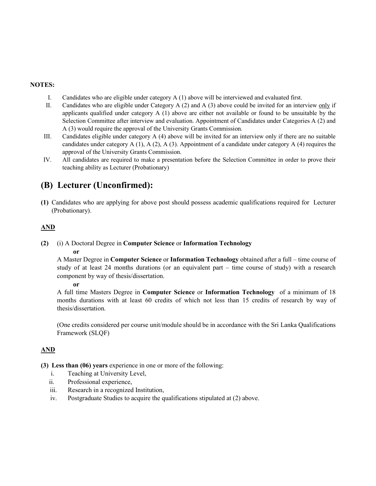#### NOTES:

- I. Candidates who are eligible under category A (1) above will be interviewed and evaluated first.
- II. Candidates who are eligible under Category A (2) and A (3) above could be invited for an interview only if applicants qualified under category  $A(1)$  above are either not available or found to be unsuitable by the Selection Committee after interview and evaluation. Appointment of Candidates under Categories A (2) and A (3) would require the approval of the University Grants Commission.
- III. Candidates eligible under category A (4) above will be invited for an interview only if there are no suitable candidates under category  $A(1)$ ,  $A(2)$ ,  $A(3)$ . Appointment of a candidate under category  $A(4)$  requires the approval of the University Grants Commission.
- IV. All candidates are required to make a presentation before the Selection Committee in order to prove their teaching ability as Lecturer (Probationary)

# (B) Lecturer (Unconfirmed):

(1) Candidates who are applying for above post should possess academic qualifications required for Lecturer (Probationary).

## AND

#### (2) (i) A Doctoral Degree in Computer Science or Information Technology

#### or

A Master Degree in Computer Science or Information Technology obtained after a full – time course of study of at least 24 months durations (or an equivalent part – time course of study) with a research component by way of thesis/dissertation.

or

A full time Masters Degree in Computer Science or Information Technology of a minimum of 18 months durations with at least 60 credits of which not less than 15 credits of research by way of thesis/dissertation.

(One credits considered per course unit/module should be in accordance with the Sri Lanka Qualifications Framework (SLQF)

## AND

(3) Less than (06) years experience in one or more of the following:

- i. Teaching at University Level,
- ii. Professional experience,
- iii. Research in a recognized Institution,
- iv. Postgraduate Studies to acquire the qualifications stipulated at (2) above.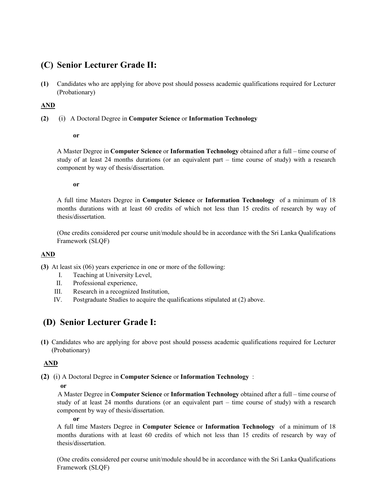# (C) Senior Lecturer Grade II:

(1) Candidates who are applying for above post should possess academic qualifications required for Lecturer (Probationary)

#### AND

(2) (i) A Doctoral Degree in Computer Science or Information Technology

#### or

A Master Degree in Computer Science or Information Technology obtained after a full – time course of study of at least 24 months durations (or an equivalent part – time course of study) with a research component by way of thesis/dissertation.

#### or

A full time Masters Degree in Computer Science or Information Technology of a minimum of 18 months durations with at least 60 credits of which not less than 15 credits of research by way of thesis/dissertation.

(One credits considered per course unit/module should be in accordance with the Sri Lanka Qualifications Framework (SLQF)

#### AND

(3) At least six (06) years experience in one or more of the following:

- I. Teaching at University Level,
- II. Professional experience,
- III. Research in a recognized Institution,
- IV. Postgraduate Studies to acquire the qualifications stipulated at (2) above.

## (D) Senior Lecturer Grade I:

(1) Candidates who are applying for above post should possess academic qualifications required for Lecturer (Probationary)

## AND

(2) (i) A Doctoral Degree in Computer Science or Information Technology :

or

 A Master Degree in Computer Science or Information Technology obtained after a full – time course of study of at least 24 months durations (or an equivalent part – time course of study) with a research component by way of thesis/dissertation.

or

A full time Masters Degree in Computer Science or Information Technology of a minimum of 18 months durations with at least 60 credits of which not less than 15 credits of research by way of thesis/dissertation.

(One credits considered per course unit/module should be in accordance with the Sri Lanka Qualifications Framework (SLQF)